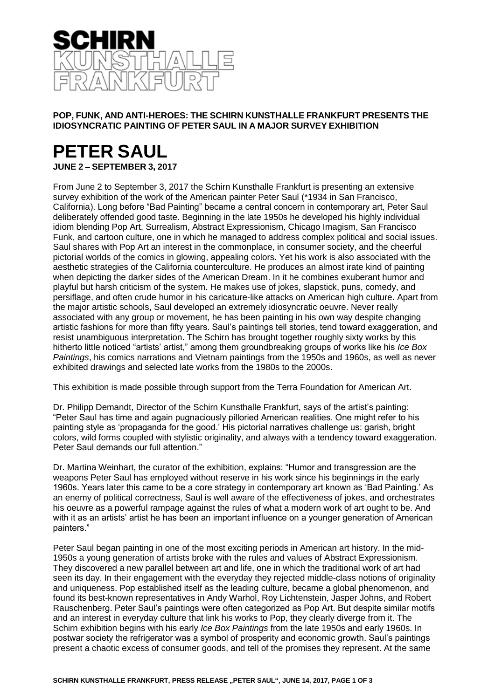

## **POP, FUNK, AND ANTI-HEROES: THE SCHIRN KUNSTHALLE FRANKFURT PRESENTS THE IDIOSYNCRATIC PAINTING OF PETER SAUL IN A MAJOR SURVEY EXHIBITION**

## **PETER SAUL JUNE 2 – SEPTEMBER 3, 2017**

From June 2 to September 3, 2017 the Schirn Kunsthalle Frankfurt is presenting an extensive survey exhibition of the work of the American painter Peter Saul (\*1934 in San Francisco, California). Long before "Bad Painting" became a central concern in contemporary art, Peter Saul deliberately offended good taste. Beginning in the late 1950s he developed his highly individual idiom blending Pop Art, Surrealism, Abstract Expressionism, Chicago Imagism, San Francisco Funk, and cartoon culture, one in which he managed to address complex political and social issues. Saul shares with Pop Art an interest in the commonplace, in consumer society, and the cheerful pictorial worlds of the comics in glowing, appealing colors. Yet his work is also associated with the aesthetic strategies of the California counterculture. He produces an almost irate kind of painting when depicting the darker sides of the American Dream. In it he combines exuberant humor and playful but harsh criticism of the system. He makes use of jokes, slapstick, puns, comedy, and persiflage, and often crude humor in his caricature-like attacks on American high culture. Apart from the major artistic schools, Saul developed an extremely idiosyncratic oeuvre. Never really associated with any group or movement, he has been painting in his own way despite changing artistic fashions for more than fifty years. Saul's paintings tell stories, tend toward exaggeration, and resist unambiguous interpretation. The Schirn has brought together roughly sixty works by this hitherto little noticed "artists' artist," among them groundbreaking groups of works like his *Ice Box Paintings*, his comics narrations and Vietnam paintings from the 1950s and 1960s, as well as never exhibited drawings and selected late works from the 1980s to the 2000s.

This exhibition is made possible through support from the Terra Foundation for American Art.

Dr. Philipp Demandt, Director of the Schirn Kunsthalle Frankfurt, says of the artist's painting: "Peter Saul has time and again pugnaciously pilloried American realities. One might refer to his painting style as 'propaganda for the good.' His pictorial narratives challenge us: garish, bright colors, wild forms coupled with stylistic originality, and always with a tendency toward exaggeration. Peter Saul demands our full attention."

Dr. Martina Weinhart, the curator of the exhibition, explains: "Humor and transgression are the weapons Peter Saul has employed without reserve in his work since his beginnings in the early 1960s. Years later this came to be a core strategy in contemporary art known as 'Bad Painting.' As an enemy of political correctness, Saul is well aware of the effectiveness of jokes, and orchestrates his oeuvre as a powerful rampage against the rules of what a modern work of art ought to be. And with it as an artists' artist he has been an important influence on a younger generation of American painters."

Peter Saul began painting in one of the most exciting periods in American art history. In the mid-1950s a young generation of artists broke with the rules and values of Abstract Expressionism. They discovered a new parallel between art and life, one in which the traditional work of art had seen its day. In their engagement with the everyday they rejected middle-class notions of originality and uniqueness. Pop established itself as the leading culture, became a global phenomenon, and found its best-known representatives in Andy Warhol, Roy Lichtenstein, Jasper Johns, and Robert Rauschenberg. Peter Saul's paintings were often categorized as Pop Art. But despite similar motifs and an interest in everyday culture that link his works to Pop, they clearly diverge from it. The Schirn exhibition begins with his early *Ice Box Paintings* from the late 1950s and early 1960s. In postwar society the refrigerator was a symbol of prosperity and economic growth. Saul's paintings present a chaotic excess of consumer goods, and tell of the promises they represent. At the same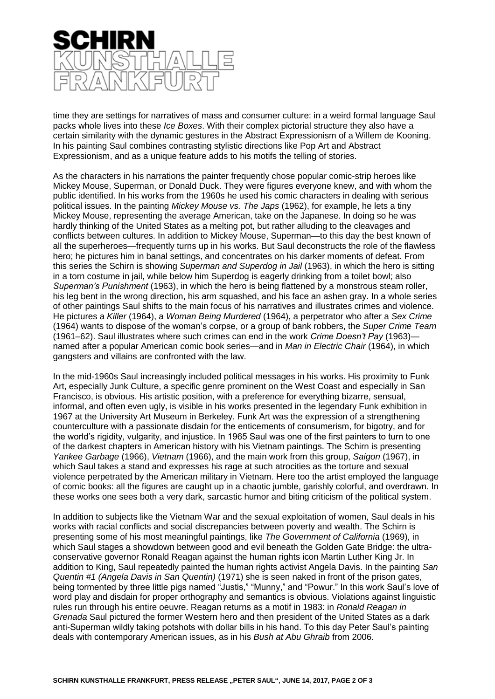

time they are settings for narratives of mass and consumer culture: in a weird formal language Saul packs whole lives into these *Ice Boxes*. With their complex pictorial structure they also have a certain similarity with the dynamic gestures in the Abstract Expressionism of a Willem de Kooning. In his painting Saul combines contrasting stylistic directions like Pop Art and Abstract Expressionism, and as a unique feature adds to his motifs the telling of stories.

As the characters in his narrations the painter frequently chose popular comic-strip heroes like Mickey Mouse, Superman, or Donald Duck. They were figures everyone knew, and with whom the public identified. In his works from the 1960s he used his comic characters in dealing with serious political issues. In the painting *Mickey Mouse vs. The Japs* (1962), for example, he lets a tiny Mickey Mouse, representing the average American, take on the Japanese. In doing so he was hardly thinking of the United States as a melting pot, but rather alluding to the cleavages and conflicts between cultures. In addition to Mickey Mouse, Superman—to this day the best known of all the superheroes—frequently turns up in his works. But Saul deconstructs the role of the flawless hero; he pictures him in banal settings, and concentrates on his darker moments of defeat. From this series the Schirn is showing *Superman and Superdog in Jail* (1963), in which the hero is sitting in a torn costume in jail, while below him Superdog is eagerly drinking from a toilet bowl; also *Superman's Punishment* (1963), in which the hero is being flattened by a monstrous steam roller, his leg bent in the wrong direction, his arm squashed, and his face an ashen gray. In a whole series of other paintings Saul shifts to the main focus of his narratives and illustrates crimes and violence. He pictures a *Killer* (1964), a *Woman Being Murdered* (1964), a perpetrator who after a *Sex Crime* (1964) wants to dispose of the woman's corpse, or a group of bank robbers, the *Super Crime Team* (1961–62). Saul illustrates where such crimes can end in the work *Crime Doesn't Pay* (1963) named after a popular American comic book series—and in *Man in Electric Chair* (1964), in which gangsters and villains are confronted with the law.

In the mid-1960s Saul increasingly included political messages in his works. His proximity to Funk Art, especially Junk Culture, a specific genre prominent on the West Coast and especially in San Francisco, is obvious. His artistic position, with a preference for everything bizarre, sensual, informal, and often even ugly, is visible in his works presented in the legendary Funk exhibition in 1967 at the University Art Museum in Berkeley. Funk Art was the expression of a strengthening counterculture with a passionate disdain for the enticements of consumerism, for bigotry, and for the world's rigidity, vulgarity, and injustice. In 1965 Saul was one of the first painters to turn to one of the darkest chapters in American history with his Vietnam paintings. The Schirn is presenting *Yankee Garbage* (1966), *Vietnam* (1966), and the main work from this group, *Saigon* (1967), in which Saul takes a stand and expresses his rage at such atrocities as the torture and sexual violence perpetrated by the American military in Vietnam. Here too the artist employed the language of comic books: all the figures are caught up in a chaotic jumble, garishly colorful, and overdrawn. In these works one sees both a very dark, sarcastic humor and biting criticism of the political system.

In addition to subjects like the Vietnam War and the sexual exploitation of women, Saul deals in his works with racial conflicts and social discrepancies between poverty and wealth. The Schirn is presenting some of his most meaningful paintings, like *The Government of California* (1969), in which Saul stages a showdown between good and evil beneath the Golden Gate Bridge: the ultraconservative governor Ronald Reagan against the human rights icon Martin Luther King Jr. In addition to King, Saul repeatedly painted the human rights activist Angela Davis. In the painting *San Quentin #1 (Angela Davis in San Quentin)* (1971) she is seen naked in front of the prison gates, being tormented by three little pigs named "Justis," "Munny," and "Powur." In this work Saul's love of word play and disdain for proper orthography and semantics is obvious. Violations against linguistic rules run through his entire oeuvre. Reagan returns as a motif in 1983: in *Ronald Reagan in Grenada* Saul pictured the former Western hero and then president of the United States as a dark anti-Superman wildly taking potshots with dollar bills in his hand. To this day Peter Saul's painting deals with contemporary American issues, as in his *Bush at Abu Ghraib* from 2006.